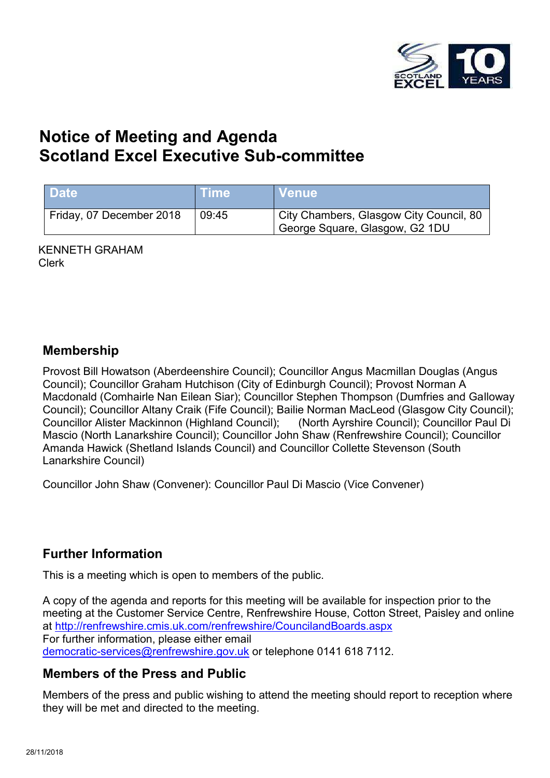

# **Notice of Meeting and Agenda Scotland Excel Executive Sub-committee**

| <b>Date</b>              | <b>Time</b> | NVenue \                                                                  |
|--------------------------|-------------|---------------------------------------------------------------------------|
| Friday, 07 December 2018 | 09:45       | City Chambers, Glasgow City Council, 80<br>George Square, Glasgow, G2 1DU |

KENNETH GRAHAM Clerk

#### **Membership**

Provost Bill Howatson (Aberdeenshire Council); Councillor Angus Macmillan Douglas (Angus Council); Councillor Graham Hutchison (City of Edinburgh Council); Provost Norman A Macdonald (Comhairle Nan Eilean Siar); Councillor Stephen Thompson (Dumfries and Galloway Council); Councillor Altany Craik (Fife Council); Bailie Norman MacLeod (Glasgow City Council); Councillor Alister Mackinnon (Highland Council); (North Ayrshire Council); Councillor Paul Di Mascio (North Lanarkshire Council); Councillor John Shaw (Renfrewshire Council); Councillor Amanda Hawick (Shetland Islands Council) and Councillor Collette Stevenson (South Lanarkshire Council)

Councillor John Shaw (Convener): Councillor Paul Di Mascio (Vice Convener)

## **Further Information**

This is a meeting which is open to members of the public.

A copy of the agenda and reports for this meeting will be available for inspection prior to the meeting at the Customer Service Centre, Renfrewshire House, Cotton Street, Paisley and online at <http://renfrewshire.cmis.uk.com/renfrewshire/CouncilandBoards.aspx> For further information, please either email [democratic-services@renfrewshire.gov.uk](mailto:democratic-services@renfrewshire.gov.uk) or telephone 0141 618 7112.

## **Members of the Press and Public**

Members of the press and public wishing to attend the meeting should report to reception where they will be met and directed to the meeting.